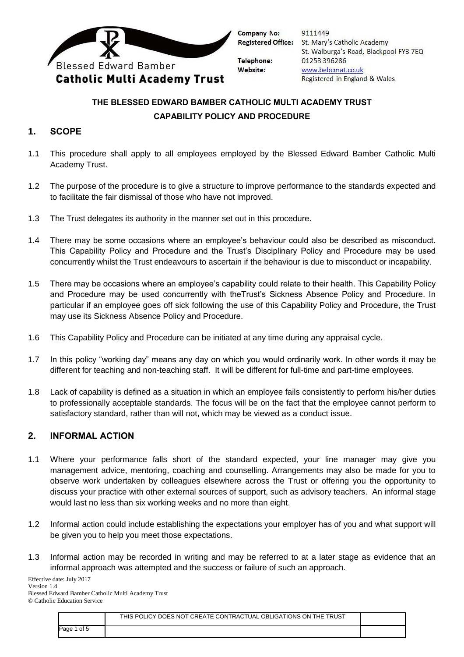

9111449 St. Mary's Catholic Academy St. Walburga's Road, Blackpool FY3 7EQ 01253 396286 www.bebcmat.co.uk Registered in England & Wales

# **THE BLESSED EDWARD BAMBER CATHOLIC MULTI ACADEMY TRUST CAPABILITY POLICY AND PROCEDURE**

#### **1. SCOPE**

- 1.1 This procedure shall apply to all employees employed by the Blessed Edward Bamber Catholic Multi Academy Trust.
- 1.2 The purpose of the procedure is to give a structure to improve performance to the standards expected and to facilitate the fair dismissal of those who have not improved.
- 1.3 The Trust delegates its authority in the manner set out in this procedure.
- 1.4 There may be some occasions where an employee's behaviour could also be described as misconduct. This Capability Policy and Procedure and the Trust's Disciplinary Policy and Procedure may be used concurrently whilst the Trust endeavours to ascertain if the behaviour is due to misconduct or incapability.
- 1.5 There may be occasions where an employee's capability could relate to their health. This Capability Policy and Procedure may be used concurrently with theTrust's Sickness Absence Policy and Procedure. In particular if an employee goes off sick following the use of this Capability Policy and Procedure, the Trust may use its Sickness Absence Policy and Procedure.
- 1.6 This Capability Policy and Procedure can be initiated at any time during any appraisal cycle.
- 1.7 In this policy "working day" means any day on which you would ordinarily work. In other words it may be different for teaching and non-teaching staff. It will be different for full-time and part-time employees.
- 1.8 Lack of capability is defined as a situation in which an employee fails consistently to perform his/her duties to professionally acceptable standards. The focus will be on the fact that the employee cannot perform to satisfactory standard, rather than will not, which may be viewed as a conduct issue.

#### **2. INFORMAL ACTION**

- 1.1 Where your performance falls short of the standard expected, your line manager may give you management advice, mentoring, coaching and counselling. Arrangements may also be made for you to observe work undertaken by colleagues elsewhere across the Trust or offering you the opportunity to discuss your practice with other external sources of support, such as advisory teachers. An informal stage would last no less than six working weeks and no more than eight.
- 1.2 Informal action could include establishing the expectations your employer has of you and what support will be given you to help you meet those expectations.
- 1.3 Informal action may be recorded in writing and may be referred to at a later stage as evidence that an informal approach was attempted and the success or failure of such an approach.

Effective date: July 2017 Version 1.4 Blessed Edward Bamber Catholic Multi Academy Trust © Catholic Education Service

|             | THIS POLICY DOES NOT CREATE CONTRACTUAL OBLIGATIONS ON THE TRUST |  |
|-------------|------------------------------------------------------------------|--|
| Page 1 of 5 |                                                                  |  |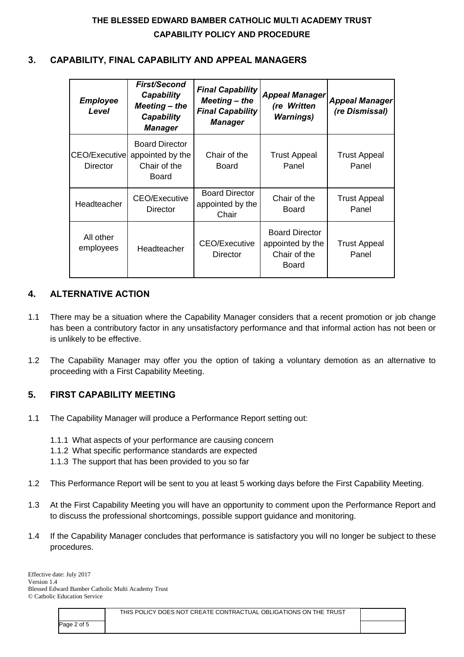### **3. CAPABILITY, FINAL CAPABILITY AND APPEAL MANAGERS**

| <b>Employee</b><br>Level  | <b>First/Second</b><br>Capability<br>$Meeting$ – the<br>Capability<br><b>Manager</b> | <b>Final Capability</b><br>$Meeting$ – the<br><b>Final Capability</b><br><b>Manager</b> | <b>Appeal Manager</b><br>(re Written<br><b>Warnings</b> )          | <b>Appeal Manager</b><br>(re Dismissal) |
|---------------------------|--------------------------------------------------------------------------------------|-----------------------------------------------------------------------------------------|--------------------------------------------------------------------|-----------------------------------------|
| CEO/Executive<br>Director | <b>Board Director</b><br>appointed by the<br>Chair of the<br>Board                   | Chair of the<br>Board                                                                   | <b>Trust Appeal</b><br>Panel                                       | <b>Trust Appeal</b><br>Panel            |
| Headteacher               | <b>CEO/Executive</b><br>Director                                                     | <b>Board Director</b><br>appointed by the<br>Chair                                      | Chair of the<br>Board                                              | <b>Trust Appeal</b><br>Panel            |
| All other<br>employees    | Headteacher                                                                          | <b>CEO/Executive</b><br>Director                                                        | <b>Board Director</b><br>appointed by the<br>Chair of the<br>Board | <b>Trust Appeal</b><br>Panel            |

### **4. ALTERNATIVE ACTION**

- 1.1 There may be a situation where the Capability Manager considers that a recent promotion or job change has been a contributory factor in any unsatisfactory performance and that informal action has not been or is unlikely to be effective.
- 1.2 The Capability Manager may offer you the option of taking a voluntary demotion as an alternative to proceeding with a First Capability Meeting.

## **5. FIRST CAPABILITY MEETING**

- 1.1 The Capability Manager will produce a Performance Report setting out:
	- 1.1.1 What aspects of your performance are causing concern
	- 1.1.2 What specific performance standards are expected
	- 1.1.3 The support that has been provided to you so far
- 1.2 This Performance Report will be sent to you at least 5 working days before the First Capability Meeting.
- 1.3 At the First Capability Meeting you will have an opportunity to comment upon the Performance Report and to discuss the professional shortcomings, possible support guidance and monitoring.
- 1.4 If the Capability Manager concludes that performance is satisfactory you will no longer be subject to these procedures.

|             | THIS POLICY DOES NOT CREATE CONTRACTUAL OBLIGATIONS ON THE TRUST |  |
|-------------|------------------------------------------------------------------|--|
| Page 2 of 5 |                                                                  |  |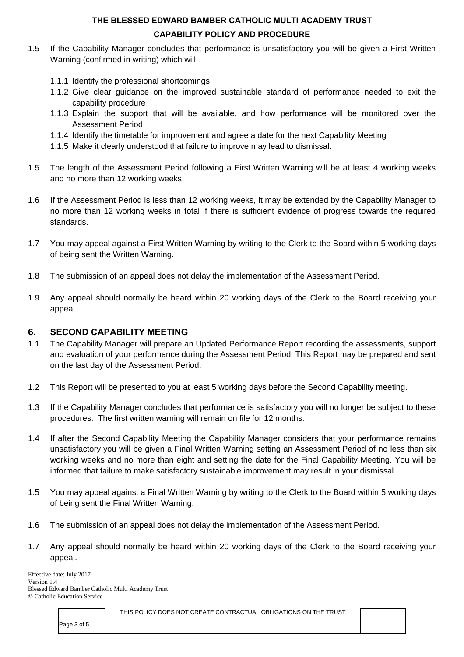- 1.5 If the Capability Manager concludes that performance is unsatisfactory you will be given a First Written Warning (confirmed in writing) which will
	- 1.1.1 Identify the professional shortcomings
	- 1.1.2 Give clear guidance on the improved sustainable standard of performance needed to exit the capability procedure
	- 1.1.3 Explain the support that will be available, and how performance will be monitored over the Assessment Period
	- 1.1.4 Identify the timetable for improvement and agree a date for the next Capability Meeting
	- 1.1.5 Make it clearly understood that failure to improve may lead to dismissal.
- 1.5 The length of the Assessment Period following a First Written Warning will be at least 4 working weeks and no more than 12 working weeks.
- 1.6 If the Assessment Period is less than 12 working weeks, it may be extended by the Capability Manager to no more than 12 working weeks in total if there is sufficient evidence of progress towards the required standards.
- 1.7 You may appeal against a First Written Warning by writing to the Clerk to the Board within 5 working days of being sent the Written Warning.
- 1.8 The submission of an appeal does not delay the implementation of the Assessment Period.
- 1.9 Any appeal should normally be heard within 20 working days of the Clerk to the Board receiving your appeal.

#### **6. SECOND CAPABILITY MEETING**

- 1.1 The Capability Manager will prepare an Updated Performance Report recording the assessments, support and evaluation of your performance during the Assessment Period. This Report may be prepared and sent on the last day of the Assessment Period.
- 1.2 This Report will be presented to you at least 5 working days before the Second Capability meeting.
- 1.3 If the Capability Manager concludes that performance is satisfactory you will no longer be subject to these procedures. The first written warning will remain on file for 12 months.
- 1.4 If after the Second Capability Meeting the Capability Manager considers that your performance remains unsatisfactory you will be given a Final Written Warning setting an Assessment Period of no less than six working weeks and no more than eight and setting the date for the Final Capability Meeting. You will be informed that failure to make satisfactory sustainable improvement may result in your dismissal.
- 1.5 You may appeal against a Final Written Warning by writing to the Clerk to the Board within 5 working days of being sent the Final Written Warning.
- 1.6 The submission of an appeal does not delay the implementation of the Assessment Period.
- 1.7 Any appeal should normally be heard within 20 working days of the Clerk to the Board receiving your appeal.

Effective date: July 2017 Version 1.4 Blessed Edward Bamber Catholic Multi Academy Trust © Catholic Education Service

|             | THIS POLICY DOES NOT CREATE CONTRACTUAL OBLIGATIONS ON THE TRUST |  |
|-------------|------------------------------------------------------------------|--|
| Page 3 of 5 |                                                                  |  |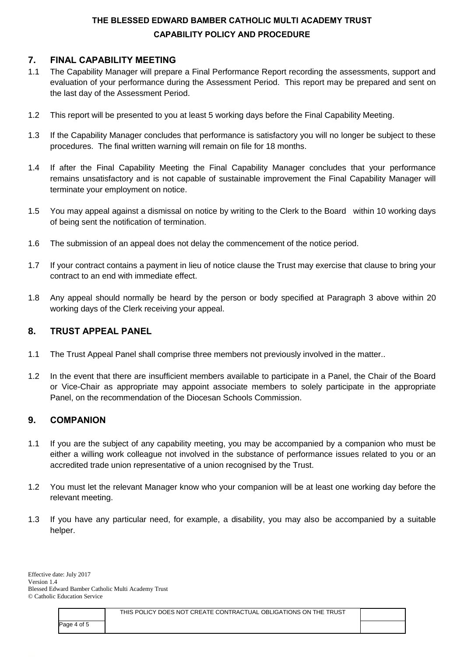### **7. FINAL CAPABILITY MEETING**

- 1.1 The Capability Manager will prepare a Final Performance Report recording the assessments, support and evaluation of your performance during the Assessment Period. This report may be prepared and sent on the last day of the Assessment Period.
- 1.2 This report will be presented to you at least 5 working days before the Final Capability Meeting.
- 1.3 If the Capability Manager concludes that performance is satisfactory you will no longer be subject to these procedures. The final written warning will remain on file for 18 months.
- 1.4 If after the Final Capability Meeting the Final Capability Manager concludes that your performance remains unsatisfactory and is not capable of sustainable improvement the Final Capability Manager will terminate your employment on notice.
- 1.5 You may appeal against a dismissal on notice by writing to the Clerk to the Board within 10 working days of being sent the notification of termination.
- 1.6 The submission of an appeal does not delay the commencement of the notice period.
- 1.7 If your contract contains a payment in lieu of notice clause the Trust may exercise that clause to bring your contract to an end with immediate effect.
- 1.8 Any appeal should normally be heard by the person or body specified at Paragraph 3 above within 20 working days of the Clerk receiving your appeal.

### **8. TRUST APPEAL PANEL**

- 1.1 The Trust Appeal Panel shall comprise three members not previously involved in the matter..
- 1.2 In the event that there are insufficient members available to participate in a Panel, the Chair of the Board or Vice-Chair as appropriate may appoint associate members to solely participate in the appropriate Panel, on the recommendation of the Diocesan Schools Commission.

### **9. COMPANION**

- 1.1 If you are the subject of any capability meeting, you may be accompanied by a companion who must be either a willing work colleague not involved in the substance of performance issues related to you or an accredited trade union representative of a union recognised by the Trust.
- 1.2 You must let the relevant Manager know who your companion will be at least one working day before the relevant meeting.
- 1.3 If you have any particular need, for example, a disability, you may also be accompanied by a suitable helper.

|             | THIS POLICY DOES NOT CREATE CONTRACTUAL OBLIGATIONS ON THE TRUST |  |
|-------------|------------------------------------------------------------------|--|
| Page 4 of 5 |                                                                  |  |